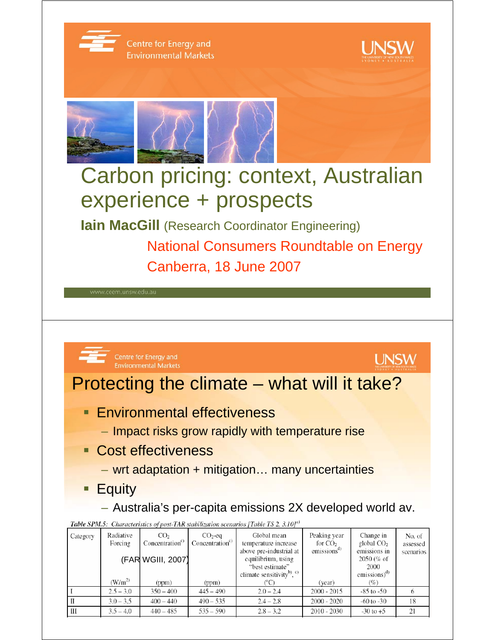

- **Cost effectiveness** 
	- wrt adaptation + mitigation… many uncertainties
- **Equity** 
	- Australia's per-capita emissions 2X developed world av.

Table SPM.5: Characteristics of post-TAR stabilization scenarios [Table TS 2, 3.10]<sup>a)</sup>

| Category       | Radiative<br>Forcing | CO <sub>2</sub><br>Concentration <sup>c</sup> | $CO2$ -eq<br>Concentration <sup>c)</sup> | Global mean<br>temperature increase<br>above pre-industrial at                       | Peaking year<br>for $CO2$<br>emissions <sup>a</sup> | Change in<br>global $CO2$<br>emissions in   | No. of<br>assessed |
|----------------|----------------------|-----------------------------------------------|------------------------------------------|--------------------------------------------------------------------------------------|-----------------------------------------------------|---------------------------------------------|--------------------|
|                |                      | (FAR WGIII, 2007)                             |                                          | equilibrium, using<br>"best estimate"<br>climate sensitivity <sup>b)</sup> , $\circ$ |                                                     | $2050\,(% of$<br>2000<br>emissions) $^{d)}$ | scenarios          |
|                | $(W/m^2)$            | (ppm)                                         | (ppm)                                    | °C)                                                                                  | (year)                                              | (%)                                         |                    |
|                | $2.5 - 3.0$          | $350 - 400$                                   | $445 - 490$                              | $2.0 - 2.4$                                                                          | $2000 - 2015$                                       | $-85$ to $-50$                              |                    |
|                | $3.0 - 3.5$          | $400 - 440$                                   | $490 - 535$                              | $2.4 - 2.8$                                                                          | $2000 - 2020$                                       | $-60$ to $-30$                              | 18                 |
| $\mathbf{III}$ | $3.5 - 4.0$          | $440 - 485$                                   | $535 - 590$                              | $2.8 - 3.2$                                                                          | $2010 - 2030$                                       | $-30$ to $+5$                               | 21                 |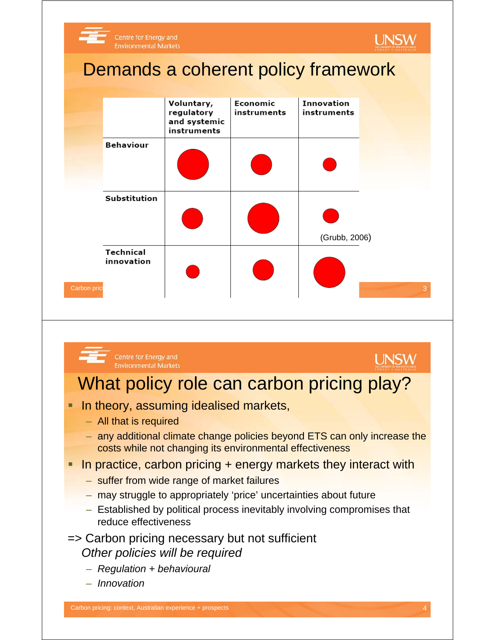



### **UNSW**

### What policy role can carbon pricing play?

- **In theory, assuming idealised markets,** 
	- All that is required
	- any additional climate change policies beyond ETS can only increase the costs while not changing its environmental effectiveness
- In practice, carbon pricing + energy markets they interact with
	- suffer from wide range of market failures
	- may struggle to appropriately 'price' uncertainties about future
	- Established by political process inevitably involving compromises that reduce effectiveness
- => Carbon pricing necessary but not sufficient *Other policies will be required*
	- *Regulation + behavioural*
	- *Innovation*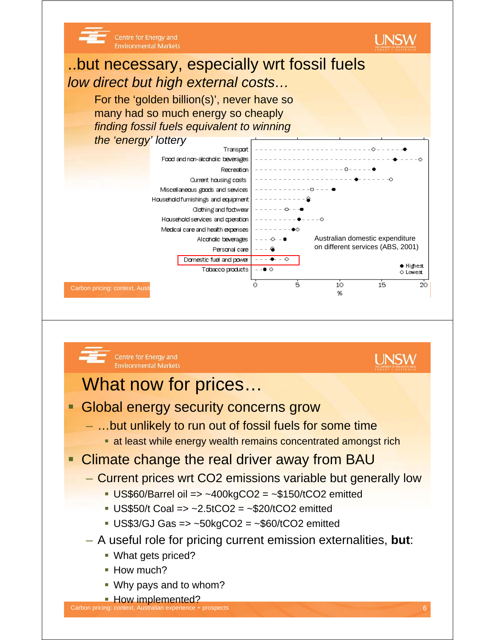

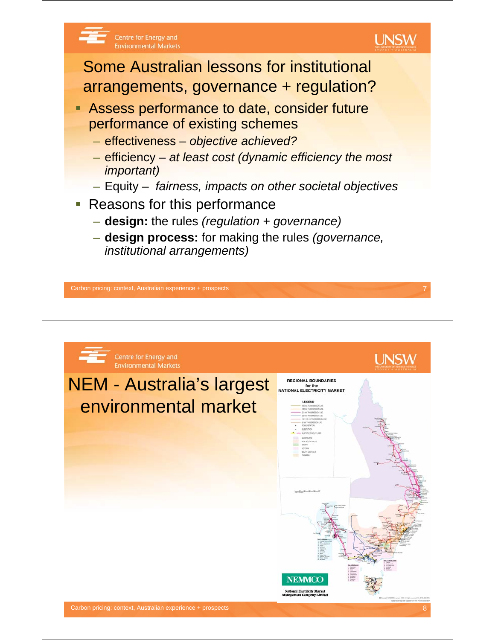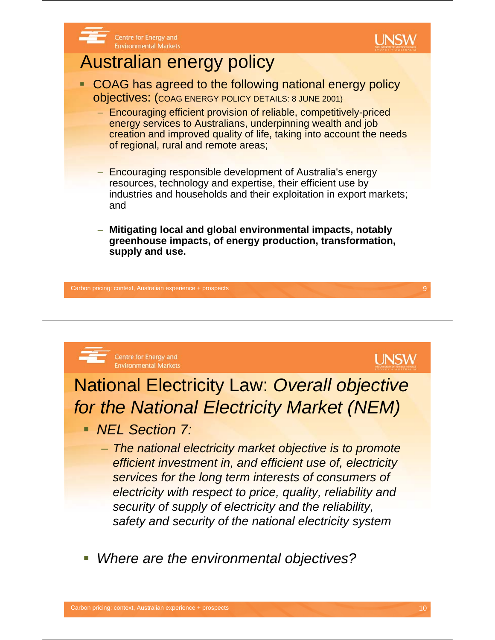

*Where are the environmental objectives?*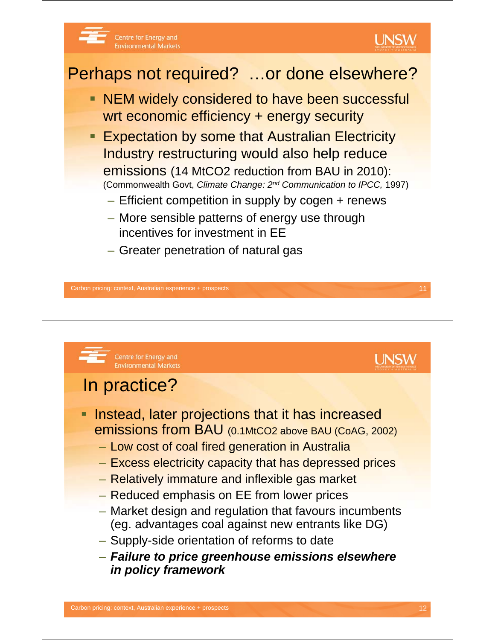

- **Expectation by some that Australian Electricity** Industry restructuring would also help reduce emissions (14 MtCO2 reduction from BAU in 2010): (Commonwealth Govt, *Climate Change: 2nd Communication to IPCC,* 1997)
	- Efficient competition in supply by cogen + renews
	- More sensible patterns of energy use through incentives for investment in EE
	- Greater penetration of natural gas

Carbon pricing: context, Australian experience + prospects 11 and 200 minutes 11 and 200 minutes 11 and 200 minutes 11 and 200 minutes 11 and 200 minutes 11 and 200 minutes 11 and 200 minutes 11 and 200 minutes 12 and 200

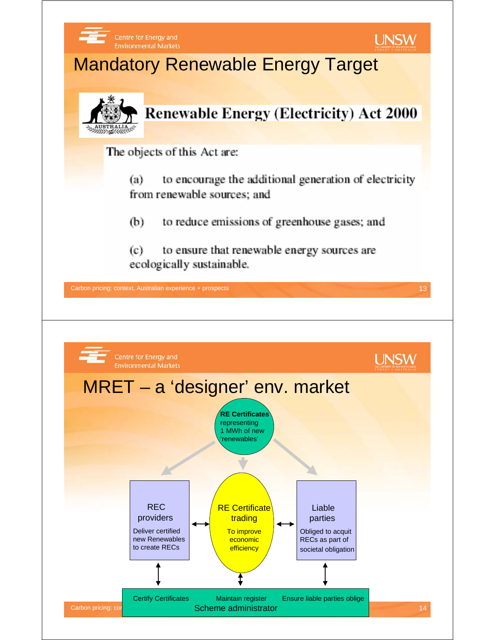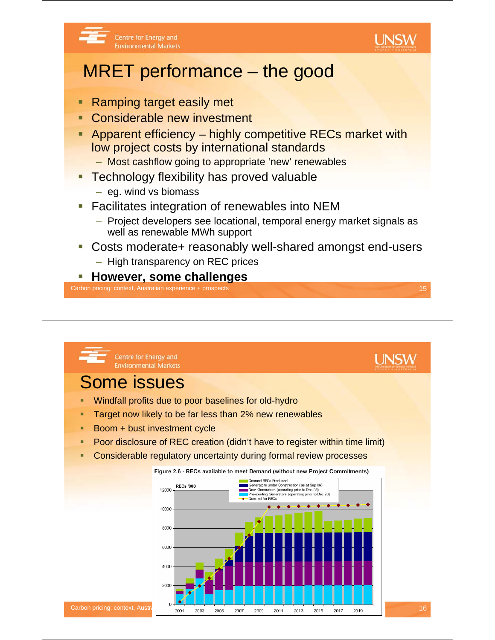



### MRET performance – the good

- Ramping target easily met
- Considerable new investment
- Apparent efficiency highly competitive RECs market with low project costs by international standards
	- Most cashflow going to appropriate 'new' renewables
- Technology flexibility has proved valuable
	- eg. wind vs biomass
- Facilitates integration of renewables into NEM
	- Project developers see locational, temporal energy market signals as well as renewable MWh support
- Costs moderate+ reasonably well-shared amongst end-users
	- High transparency on REC prices

### **However, some challenges**

Carbon pricing: context, Australian experience + prospects 15

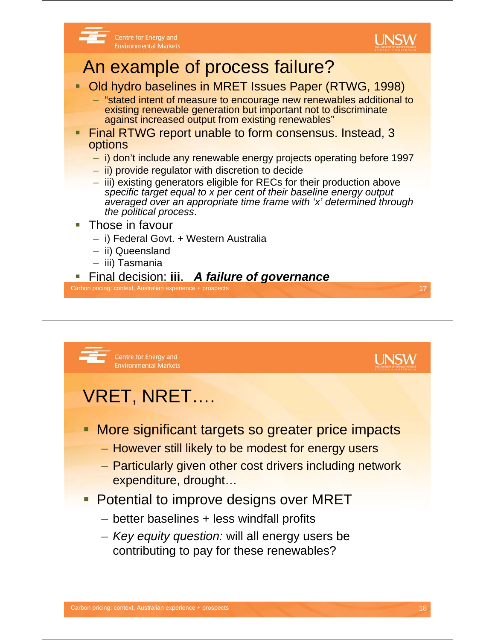

**UNSW** 

#### Centre for Energy and **Environmental Markets**

### An example of process failure?

- **Old hydro baselines in MRET Issues Paper (RTWG, 1998)** 
	- "stated intent of measure to encourage new renewables additional to existing renewable generation but important not to discriminate against increased output from existing renewables"
- Final RTWG report unable to form consensus. Instead, 3 options
	- i) don't include any renewable energy projects operating before 1997
	- ii) provide regulator with discretion to decide
	- iii) existing generators eligible for RECs for their production above *specific target equal to x per cent of their baseline energy output averaged over an appropriate time frame with 'x' determined through the political process*.
- Those in favour
	- i) Federal Govt. + Western Australia
	- ii) Queensland
	- iii) Tasmania
- Final decision: **iii**. *A failure of governance*

Carbon pricing: context, Australian experience + prospects 17

Centre for Energy and **Environmental Markets** 

# VRET, NRET….

- **More significant targets so greater price impacts** 
	- However still likely to be modest for energy users
	- Particularly given other cost drivers including network expenditure, drought…
- **Potential to improve designs over MRET** 
	- better baselines + less windfall profits
	- *Key equity question:* will all energy users be contributing to pay for these renewables?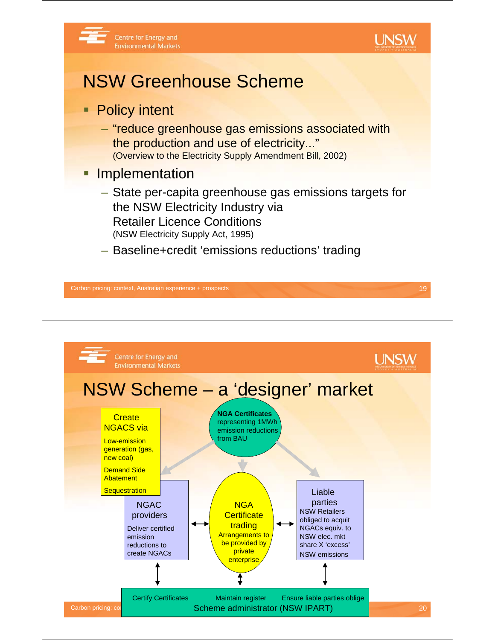



### NSW Greenhouse Scheme

- **Policy intent** 
	- "reduce greenhouse gas emissions associated with the production and use of electricity..." (Overview to the Electricity Supply Amendment Bill, 2002)
- **Implementation** 
	- State per-capita greenhouse gas emissions targets for the NSW Electricity Industry via Retailer Licence Conditions (NSW Electricity Supply Act, 1995)
	- Baseline+credit 'emissions reductions' trading

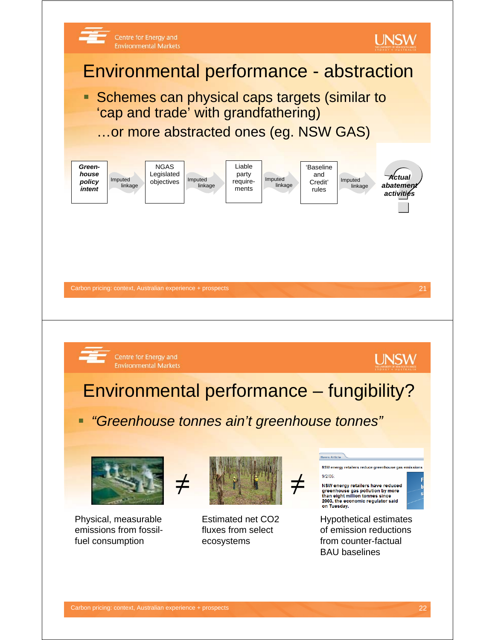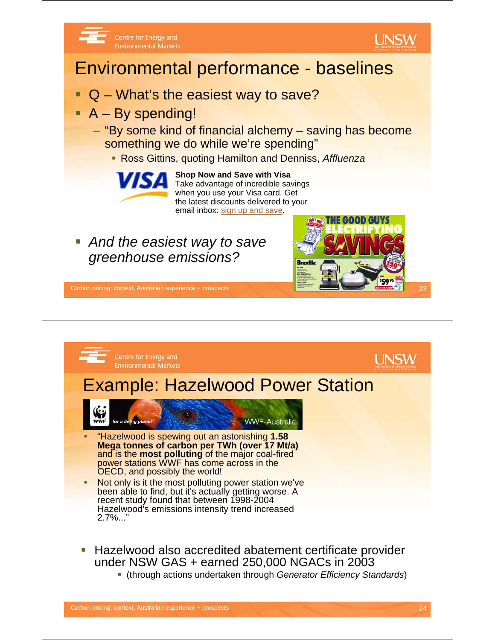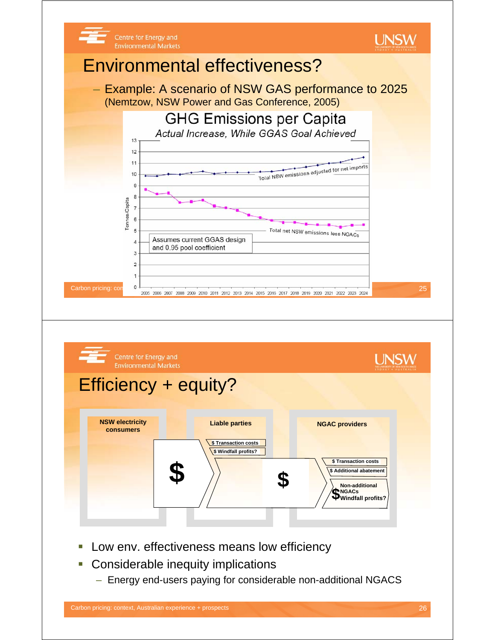

- **Considerable inequity implications** 
	- Energy end-users paying for considerable non-additional NGACS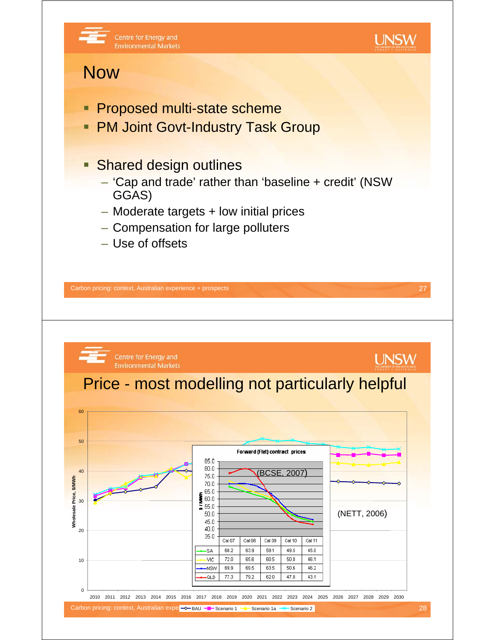

 $35.0$ 

SA

**VIC** 

**NSW** 

QLD

Cal 07

68.2

 $72.0$ 

69.9

77.3

Cal 08

63.9

65.6

 $69.5$ 

79.2

Cal 09

59.1

60.5

 $63.5$ 

 $620$ 

Cal 10

49.5

 $50.0$ 

 $50.6$ 

 $47n$ 

Cal 11

45.0

46.1

 $46.2$ 

43.1

0

10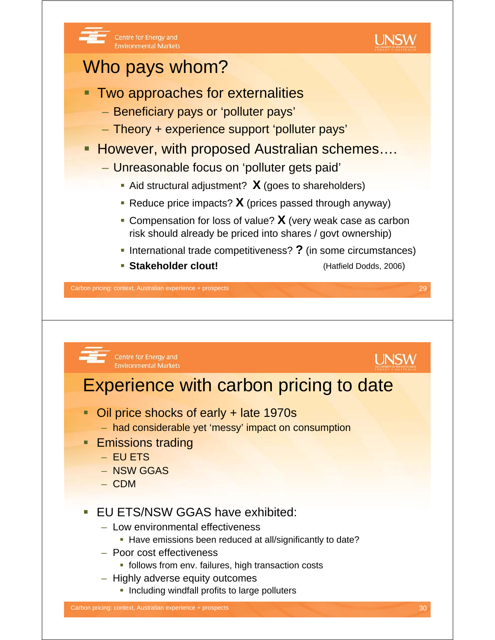

- Highly adverse equity outcomes
	- **Including windfall profits to large polluters**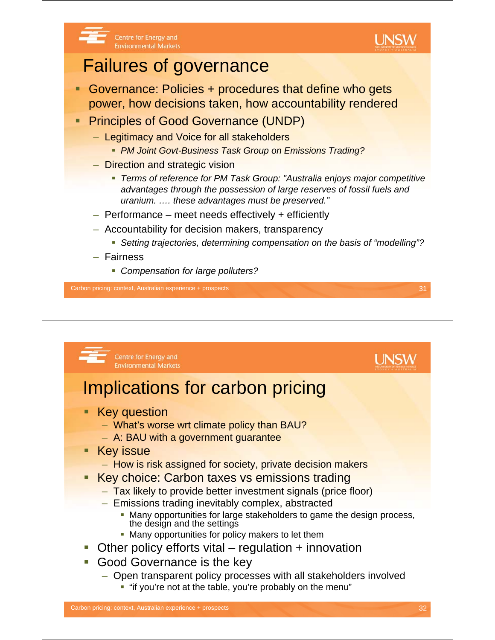

## Failures of governance

Centre for Energy and

**Environmental Markets** 

- Governance: Policies + procedures that define who gets power, how decisions taken, how accountability rendered
- **Principles of Good Governance (UNDP)** 
	- Legitimacy and Voice for all stakeholders
		- *PM Joint Govt-Business Task Group on Emissions Trading?*
	- Direction and strategic vision
		- *Terms of reference for PM Task Group: "Australia enjoys major competitive advantages through the possession of large reserves of fossil fuels and uranium. …. these advantages must be preserved."*
	- Performance meet needs effectively + efficiently
	- Accountability for decision makers, transparency
		- *Setting trajectories, determining compensation on the basis of "modelling"?*
	- Fairness
		- *Compensation for large polluters?*

Carbon pricing: context, Australian experience + prospects 31